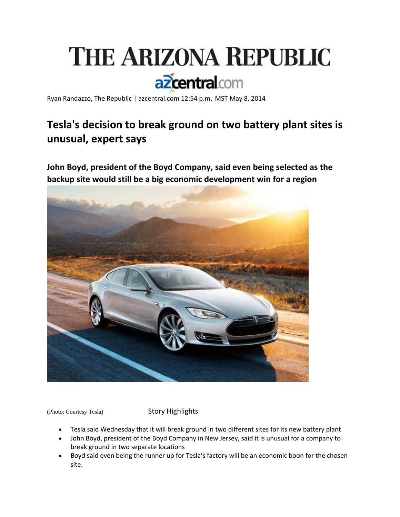

Ryan Randazzo, The Republic | azcentral.com 12:54 p.m. MST May 8, 2014

# **Tesla's decision to break ground on two battery plant sites is unusual, expert says**

**John Boyd, president of the Boyd Company, said even being selected as the backup site would still be a big economic development win for a region**



(Photo: Courtesy Tesla) Story Highlights

- Tesla said Wednesday that it will break ground in two different sites for its new battery plant
- John Boyd, president of the Boyd Company in New Jersey, said it is unusual for a company to break ground in two separate locations
- Boyd said even being the runner up for Tesla's factory will be an economic boon for the chosen site.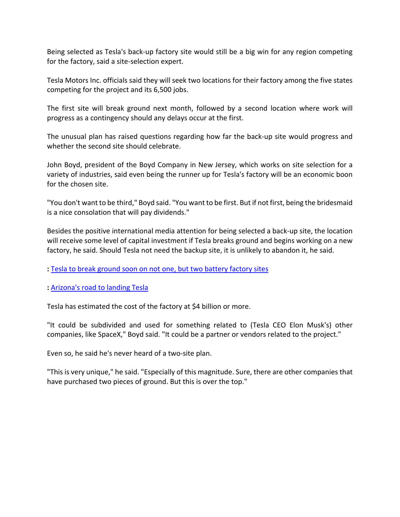Being selected as Tesla's back‐up factory site would still be a big win for any region competing for the factory, said a site‐selection expert.

Tesla Motors Inc. officials said they will seek two locations for their factory among the five states competing for the project and its 6,500 jobs.

The first site will break ground next month, followed by a second location where work will progress as a contingency should any delays occur at the first.

The unusual plan has raised questions regarding how far the back‐up site would progress and whether the second site should celebrate.

John Boyd, president of the Boyd Company in New Jersey, which works on site selection for a variety of industries, said even being the runner up for Tesla's factory will be an economic boon for the chosen site.

"You don't want to be third," Boyd said. "You want to be first. But if not first, being the bridesmaid is a nice consolation that will pay dividends."

Besides the positive international media attention for being selected a back‐up site, the location will receive some level of capital investment if Tesla breaks ground and begins working on a new factory, he said. Should Tesla not need the backup site, it is unlikely to abandon it, he said.

#### **:** Tesla to break ground soon on not one, but two battery factory sites

#### **:** Arizona's road to landing Tesla

Tesla has estimated the cost of the factory at \$4 billion or more.

"It could be subdivided and used for something related to (Tesla CEO Elon Musk's) other companies, like SpaceX," Boyd said. "It could be a partner or vendors related to the project."

Even so, he said he's never heard of a two‐site plan.

"This is very unique," he said. "Especially of this magnitude. Sure, there are other companies that have purchased two pieces of ground. But this is over the top."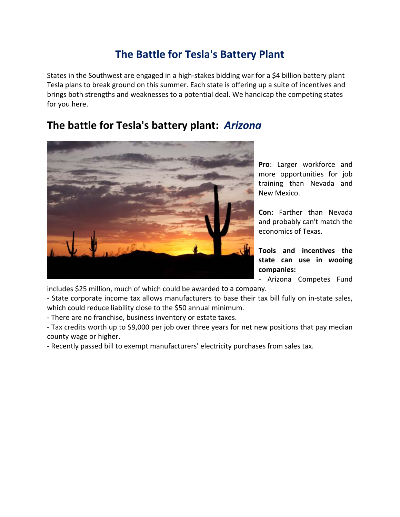## **The Battle for Tesla's Battery Plant**

States in the Southwest are engaged in a high-stakes bidding war for a \$4 billion battery plant Tesla plans to break ground on this summer. Each state is offering up a suite of incentives and brings both strengths and weaknesses to a potential deal. We handicap the competing states for you here.

#### **The battle for Tesla's battery plant:** *Arizona*



**Pro**: Larger workforce and more opportunities for job training than Nevada and New Mexico.

**Con:** Farther than Nevada and probably can't match the economics of Texas.

**Tools and incentives the state can use in wooing companies:**

‐ Arizona Competes Fund

includes \$25 million, much of which could be awarded to a company.

‐ State corporate income tax allows manufacturers to base their tax bill fully on in‐state sales, which could reduce liability close to the \$50 annual minimum.

‐ There are no franchise, business inventory or estate taxes.

‐ Tax credits worth up to \$9,000 per job over three years for net new positions that pay median county wage or higher.

‐ Recently passed bill to exempt manufacturers' electricity purchases from sales tax.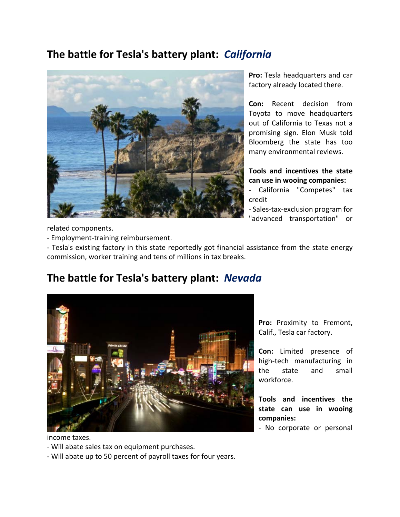## **The battle for Tesla's battery plant:** *California*



**Pro:** Tesla headquarters and car factory already located there.

**Con:** Recent decision from Toyota to move headquarters out of California to Texas not a promising sign. Elon Musk told Bloomberg the state has too many environmental reviews.

**Tools and incentives the state can use in wooing companies:**

‐ California "Competes" tax credit

‐ Sales‐tax‐exclusion program for "advanced transportation" or

related components.

‐ Employment‐training reimbursement.

‐ Tesla's existing factory in this state reportedly got financial assistance from the state energy commission, worker training and tens of millions in tax breaks.

## **The battle for Tesla's battery plant:** *Nevada*



income taxes.

‐ Will abate sales tax on equipment purchases.

‐ Will abate up to 50 percent of payroll taxes for four years.

**Pro:** Proximity to Fremont, Calif., Tesla car factory.

**Con:** Limited presence of high‐tech manufacturing in the state and small workforce.

**Tools and incentives the state can use in wooing companies:**

‐ No corporate or personal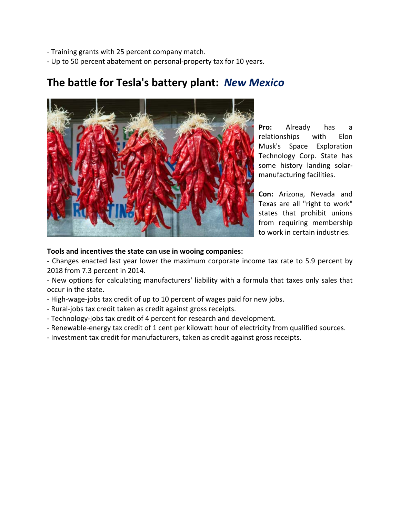‐ Training grants with 25 percent company match.

‐ Up to 50 percent abatement on personal‐property tax for 10 years.

**The battle for Tesla's battery plant:** *New Mexico*

**Pro:** Already has a relationships with Elon Musk's Space Exploration Technology Corp. State has some history landing solar‐ manufacturing facilities.

**Con:** Arizona, Nevada and Texas are all "right to work" states that prohibit unions from requiring membership to work in certain industries.

#### **Tools and incentives the state can use in wooing companies:**

‐ Changes enacted last year lower the maximum corporate income tax rate to 5.9 percent by 2018 from 7.3 percent in 2014.

‐ New options for calculating manufacturers' liability with a formula that taxes only sales that occur in the state.

- ‐ High‐wage‐jobs tax credit of up to 10 percent of wages paid for new jobs.
- ‐ Rural‐jobs tax credit taken as credit against gross receipts.
- ‐ Technology‐jobs tax credit of 4 percent for research and development.
- ‐ Renewable‐energy tax credit of 1 cent per kilowatt hour of electricity from qualified sources.
- ‐ Investment tax credit for manufacturers, taken as credit against gross receipts.